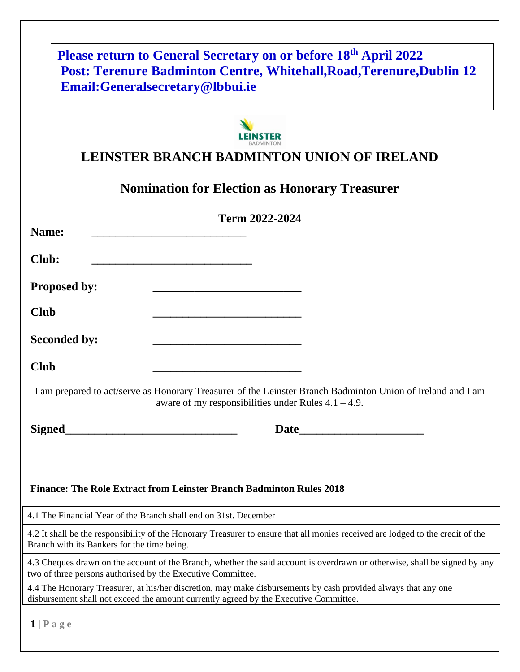| Please return to General Secretary on or before 18 <sup>th</sup> April 2022<br><b>Post: Terenure Badminton Centre, Whitehall, Road, Terenure, Dublin 12</b>                                             |
|---------------------------------------------------------------------------------------------------------------------------------------------------------------------------------------------------------|
| Email:Generalsecretary@lbbui.ie                                                                                                                                                                         |
|                                                                                                                                                                                                         |
|                                                                                                                                                                                                         |
| <b>LEINSTER BRANCH BADMINTON UNION OF IRELAND</b>                                                                                                                                                       |
| <b>Nomination for Election as Honorary Treasurer</b>                                                                                                                                                    |
| Term 2022-2024                                                                                                                                                                                          |
| Name:                                                                                                                                                                                                   |
| Club:                                                                                                                                                                                                   |
| <b>Proposed by:</b>                                                                                                                                                                                     |
| <b>Club</b>                                                                                                                                                                                             |
|                                                                                                                                                                                                         |
| <b>Seconded by:</b>                                                                                                                                                                                     |
| <b>Club</b>                                                                                                                                                                                             |
| I am prepared to act/serve as Honorary Treasurer of the Leinster Branch Badminton Union of Ireland and I am<br>aware of my responsibilities under Rules $4.1 - 4.9$ .                                   |
| <b>Signed</b><br><b>Date</b>                                                                                                                                                                            |
|                                                                                                                                                                                                         |
|                                                                                                                                                                                                         |
| <b>Finance: The Role Extract from Leinster Branch Badminton Rules 2018</b>                                                                                                                              |
| 4.1 The Financial Year of the Branch shall end on 31st. December                                                                                                                                        |
| 4.2 It shall be the responsibility of the Honorary Treasurer to ensure that all monies received are lodged to the credit of the<br>Branch with its Bankers for the time being.                          |
| 4.3 Cheques drawn on the account of the Branch, whether the said account is overdrawn or otherwise, shall be signed by any<br>two of three persons authorised by the Executive Committee.               |
| 4.4 The Honorary Treasurer, at his/her discretion, may make disbursements by cash provided always that any one<br>disbursement shall not exceed the amount currently agreed by the Executive Committee. |
| $1$   Page                                                                                                                                                                                              |